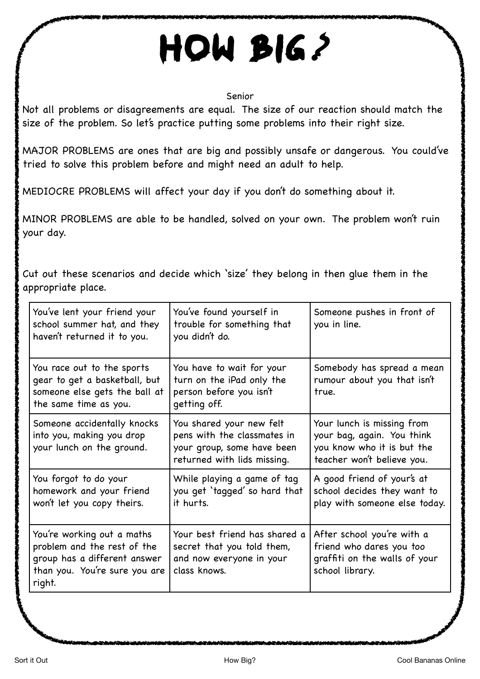## How big *?*

## Senior

Not all problems or disagreements are equal. The size of our reaction should match the size of the problem. So let's practice putting some problems into their right size.

MAJOR PROBLEMS are ones that are big and possibly unsafe or dangerous. You could've tried to solve this problem before and might need an adult to help.

MEDIOCRE PROBLEMS will affect your day if you don't do something about it.

MINOR PROBLEMS are able to be handled, solved on your own. The problem won't ruin your day.

Cut out these scenarios and decide which 'size' they belong in then glue them in the appropriate place.

| You've lent your friend your<br>school summer hat, and they<br>haven't returned it to you.                                           | You've found yourself in<br>trouble for something that<br>you didn't do.                                             | Someone pushes in front of<br>you in line.                                                                           |
|--------------------------------------------------------------------------------------------------------------------------------------|----------------------------------------------------------------------------------------------------------------------|----------------------------------------------------------------------------------------------------------------------|
| You race out to the sports<br>gear to get a basketball, but<br>someone else gets the ball at<br>the same time as you.                | You have to wait for your<br>turn on the iPad only the<br>person before you isn't<br>getting off.                    | Somebody has spread a mean<br>rumour about you that isn't<br>true.                                                   |
| Someone accidentally knocks<br>into you, making you drop<br>your lunch on the ground.                                                | You shared your new felt<br>pens with the classmates in<br>your group, some have been<br>returned with lids missing. | Your lunch is missing from<br>your bag, again. You think<br>you know who it is but the<br>teacher won't believe you. |
| You forgot to do your<br>homework and your friend<br>won't let you copy theirs.                                                      | While playing a game of tag<br>you get 'tagged' so hard that<br>it hurts.                                            | A good friend of your's at<br>school decides they want to<br>play with someone else today.                           |
| You're working out a maths<br>problem and the rest of the<br>group has a different answer<br>than you. You're sure you are<br>right. | Your best friend has shared a<br>secret that you told them,<br>and now everyone in your<br>class knows.              | After school you're with a<br>friend who dares you too<br>graffiti on the walls of your<br>school library.           |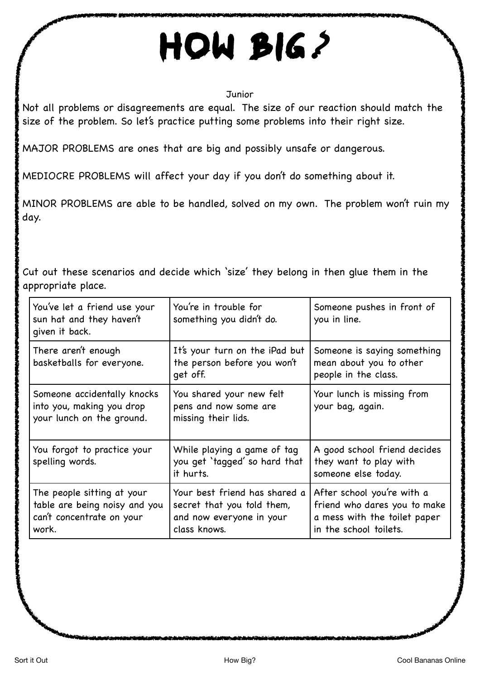## How big *?*

## **Junior**

Not all problems or disagreements are equal. The size of our reaction should match the size of the problem. So let's practice putting some problems into their right size.

MAJOR PROBLEMS are ones that are big and possibly unsafe or dangerous.

MEDIOCRE PROBLEMS will affect your day if you don't do something about it.

MINOR PROBLEMS are able to be handled, solved on my own. The problem won't ruin my day.

Cut out these scenarios and decide which 'size' they belong in then glue them in the appropriate place.

| You've let a friend use your<br>sun hat and they haven't<br>given it back.                        | You're in trouble for<br>something you didn't do.                                                       | Someone pushes in front of<br>you in line.                                                                           |
|---------------------------------------------------------------------------------------------------|---------------------------------------------------------------------------------------------------------|----------------------------------------------------------------------------------------------------------------------|
| There aren't enough<br>basketballs for everyone.                                                  | It's your turn on the iPad but<br>the person before you won't<br>get off.                               | Someone is saying something<br>mean about you to other<br>people in the class.                                       |
| Someone accidentally knocks<br>into you, making you drop<br>your lunch on the ground.             | You shared your new felt<br>pens and now some are<br>missing their lids.                                | Your lunch is missing from<br>your bag, again.                                                                       |
| You forgot to practice your<br>spelling words.                                                    | While playing a game of tag<br>you get 'tagged' so hard that<br>it hurts.                               | A good school friend decides<br>they want to play with<br>someone else today.                                        |
| The people sitting at your<br>table are being noisy and you<br>can't concentrate on your<br>work. | Your best friend has shared a<br>secret that you told them,<br>and now everyone in your<br>class knows. | After school you're with a<br>friend who dares you to make<br>a mess with the toilet paper<br>in the school toilets. |